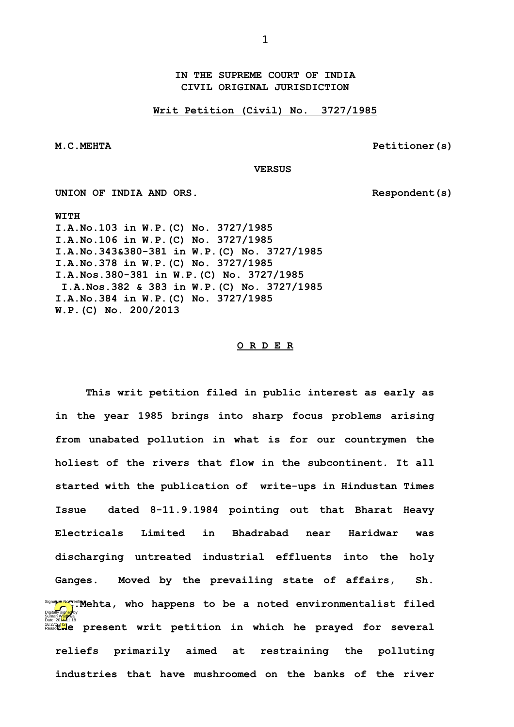**IN THE SUPREME COURT OF INDIA CIVIL ORIGINAL JURISDICTION**

**Writ Petition (Civil) No. 3727/1985**

**M.C.MEHTA Petitioner(s)**

 **VERSUS**

UNION OF INDIA AND ORS. Respondent(s)

**WITH I.A.No.103 in W.P.(C) No. 3727/1985 I.A.No.106 in W.P.(C) No. 3727/1985 I.A.No.343&380-381 in W.P.(C) No. 3727/1985 I.A.No.378 in W.P.(C) No. 3727/1985 I.A.Nos.380-381 in W.P.(C) No. 3727/1985 I.A.Nos.382 & 383 in W.P.(C) No. 3727/1985 I.A.No.384 in W.P.(C) No. 3727/1985 W.P.(C) No. 200/2013**

## **O R D E R**

**This writ petition filed in public interest as early as in the year 1985 brings into sharp focus problems arising from unabated pollution in what is for our countrymen the holiest of the rivers that flow in the subcontinent. It all started with the publication of write-ups in Hindustan Times Issue dated 8-11.9.1984 pointing out that Bharat Heavy Electricals Limited in Bhadrabad near Haridwar was discharging untreated industrial effluents into the holy Ganges. Moved by the prevailing state of affairs, Sh.** Signature Not Wehta, who happens to be a noted environmentalist filed **The present writ petition in which he prayed for several reliefs primarily aimed at restraining the polluting industries that have mushroomed on the banks of the river** Digitally signed by Suman Wadhwa Date: 2014.11.18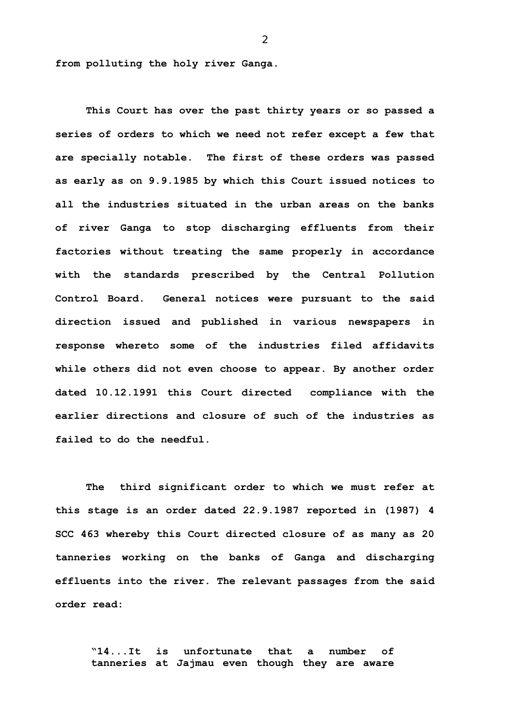**from polluting the holy river Ganga.**

**This Court has over the past thirty years or so passed a series of orders to which we need not refer except a few that are specially notable. The first of these orders was passed as early as on 9.9.1985 by which this Court issued notices to all the industries situated in the urban areas on the banks of river Ganga to stop discharging effluents from their factories without treating the same properly in accordance with the standards prescribed by the Central Pollution Control Board. General notices were pursuant to the said direction issued and published in various newspapers in response whereto some of the industries filed affidavits while others did not even choose to appear. By another order dated 10.12.1991 this Court directed compliance with the earlier directions and closure of such of the industries as failed to do the needful.**

**The third significant order to which we must refer at this stage is an order dated 22.9.1987 reported in (1987) 4 SCC 463 whereby this Court directed closure of as many as 20 tanneries working on the banks of Ganga and discharging effluents into the river. The relevant passages from the said order read:**

**"14...It is unfortunate that a number of tanneries at Jajmau even though they are aware**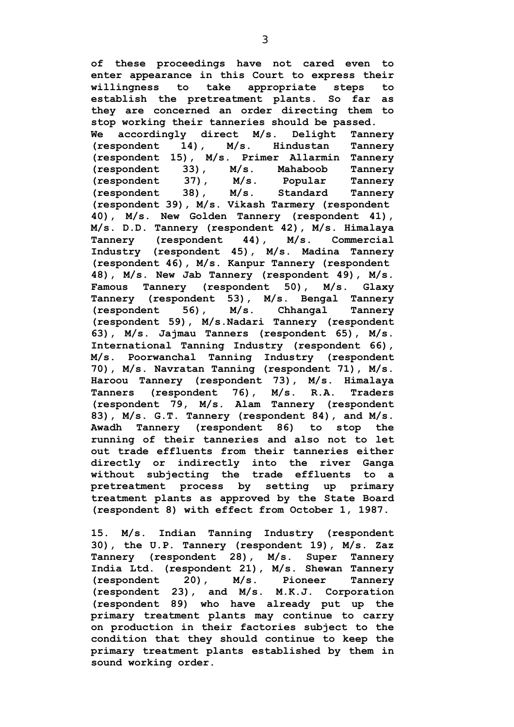**of these proceedings have not cared even to enter appearance in this Court to express their willingness to take appropriate steps to establish the pretreatment plants. So far as they are concerned an order directing them to stop working their tanneries should be passed. We accordingly direct M/s. Delight Tannery (respondent 14), M/s. Hindustan Tannery (respondent 15), M/s. Primer Allarmin Tannery (respondent 33), M/s. Mahaboob Tannery (respondent 37), M/s. Popular Tannery (respondent 38), M/s. Standard Tannery (respondent 39), M/s. Vikash Tarmery (respondent 40), M/s. New Golden Tannery (respondent 41), M/s. D.D. Tannery (respondent 42), M/s. Himalaya Tannery (respondent 44), M/s. Commercial Industry (respondent 45), M/s. Madina Tannery (respondent 46), M/s. Kanpur Tannery (respondent 48), M/s. New Jab Tannery (respondent 49), M/s. Famous Tannery (respondent 50), M/s. Glaxy Tannery (respondent 53), M/s. Bengal Tannery (respondent 56), M/s. Chhangal Tannery (respondent 59), M/s.Nadari Tannery (respondent 63), M/s. Jajmau Tanners (respondent 65), M/s. International Tanning Industry (respondent 66), M/s. Poorwanchal Tanning Industry (respondent 70), M/s. Navratan Tanning (respondent 71), M/s. Haroou Tannery (respondent 73), M/s. Himalaya Tanners (respondent 76), M/s. R.A. Traders (respondent 79, M/s. Alam Tannery (respondent 83), M/s. G.T. Tannery (respondent 84), and M/s. Awadh Tannery (respondent 86) to stop the running of their tanneries and also not to let out trade effluents from their tanneries either directly or indirectly into the river Ganga without subjecting the trade effluents to a pretreatment process by setting up primary treatment plants as approved by the State Board (respondent 8) with effect from October 1, 1987.**

**15. M/s. Indian Tanning Industry (respondent 30), the U.P. Tannery (respondent 19), M/s. Zaz Tannery (respondent 28), M/s. Super Tannery India Ltd. (respondent 21), M/s. Shewan Tannery (respondent 20), M/s. Pioneer Tannery (respondent 23), and M/s. M.K.J. Corporation (respondent 89) who have already put up the primary treatment plants may continue to carry on production in their factories subject to the condition that they should continue to keep the primary treatment plants established by them in sound working order.**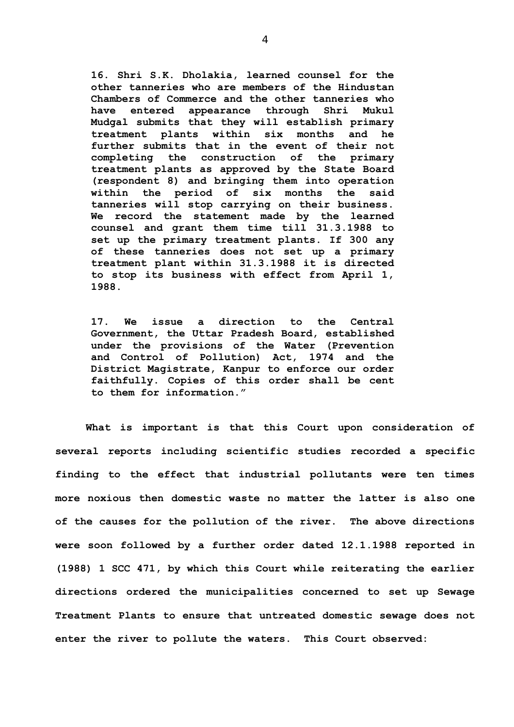**16. Shri S.K. Dholakia, learned counsel for the other tanneries who are members of the Hindustan Chambers of Commerce and the other tanneries who have entered appearance through Shri Mukul Mudgal submits that they will establish primary treatment plants within six months and he further submits that in the event of their not completing the construction of the primary treatment plants as approved by the State Board (respondent 8) and bringing them into operation within the period of six months the said tanneries will stop carrying on their business. We record the statement made by the learned counsel and grant them time till 31.3.1988 to set up the primary treatment plants. If 300 any of these tanneries does not set up a primary treatment plant within 31.3.1988 it is directed to stop its business with effect from April 1, 1988.** 

**17. We issue a direction to the Central Government, the Uttar Pradesh Board, established under the provisions of the Water (Prevention and Control of Pollution) Act, 1974 and the District Magistrate, Kanpur to enforce our order faithfully. Copies of this order shall be cent to them for information."**

**What is important is that this Court upon consideration of several reports including scientific studies recorded a specific finding to the effect that industrial pollutants were ten times more noxious then domestic waste no matter the latter is also one of the causes for the pollution of the river. The above directions were soon followed by a further order dated 12.1.1988 reported in (1988) 1 SCC 471, by which this Court while reiterating the earlier directions ordered the municipalities concerned to set up Sewage Treatment Plants to ensure that untreated domestic sewage does not enter the river to pollute the waters. This Court observed:**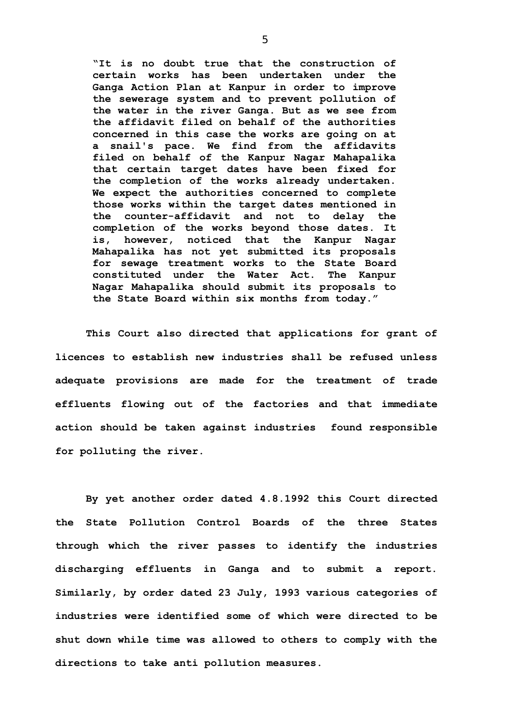**"It is no doubt true that the construction of certain works has been undertaken under the Ganga Action Plan at Kanpur in order to improve the sewerage system and to prevent pollution of the water in the river Ganga. But as we see from the affidavit filed on behalf of the authorities concerned in this case the works are going on at a snail's pace. We find from the affidavits filed on behalf of the Kanpur Nagar Mahapalika that certain target dates have been fixed for the completion of the works already undertaken. We expect the authorities concerned to complete those works within the target dates mentioned in the counter-affidavit and not to delay the completion of the works beyond those dates. It is, however, noticed that the Kanpur Nagar Mahapalika has not yet submitted its proposals for sewage treatment works to the State Board constituted under the Water Act. The Kanpur Nagar Mahapalika should submit its proposals to the State Board within six months from today."** 

**This Court also directed that applications for grant of licences to establish new industries shall be refused unless adequate provisions are made for the treatment of trade effluents flowing out of the factories and that immediate action should be taken against industries found responsible for polluting the river.** 

**By yet another order dated 4.8.1992 this Court directed the State Pollution Control Boards of the three States through which the river passes to identify the industries discharging effluents in Ganga and to submit a report. Similarly, by order dated 23 July, 1993 various categories of industries were identified some of which were directed to be shut down while time was allowed to others to comply with the directions to take anti pollution measures.**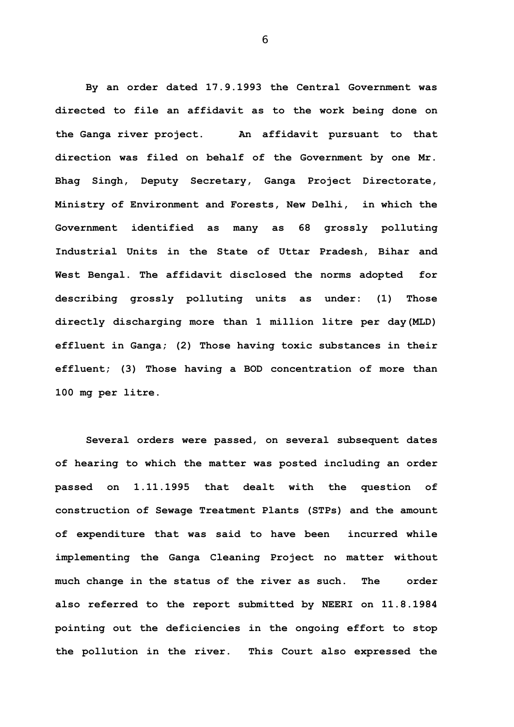**By an order dated 17.9.1993 the Central Government was directed to file an affidavit as to the work being done on the Ganga river project. An affidavit pursuant to that direction was filed on behalf of the Government by one Mr. Bhag Singh, Deputy Secretary, Ganga Project Directorate, Ministry of Environment and Forests, New Delhi, in which the Government identified as many as 68 grossly polluting Industrial Units in the State of Uttar Pradesh, Bihar and West Bengal. The affidavit disclosed the norms adopted for describing grossly polluting units as under: (1) Those directly discharging more than 1 million litre per day(MLD) effluent in Ganga; (2) Those having toxic substances in their effluent; (3) Those having a BOD concentration of more than 100 mg per litre.**

**Several orders were passed, on several subsequent dates of hearing to which the matter was posted including an order passed on 1.11.1995 that dealt with the question of construction of Sewage Treatment Plants (STPs) and the amount of expenditure that was said to have been incurred while implementing the Ganga Cleaning Project no matter without much change in the status of the river as such. The order also referred to the report submitted by NEERI on 11.8.1984 pointing out the deficiencies in the ongoing effort to stop the pollution in the river. This Court also expressed the**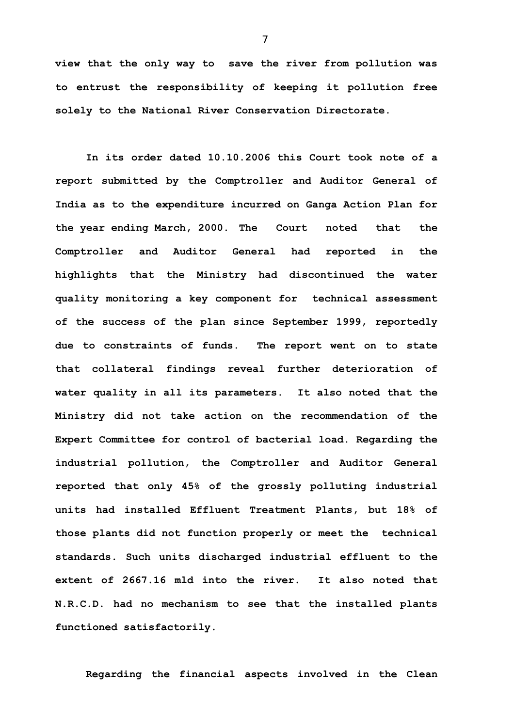**view that the only way to save the river from pollution was to entrust the responsibility of keeping it pollution free solely to the National River Conservation Directorate.**

**In its order dated 10.10.2006 this Court took note of a report submitted by the Comptroller and Auditor General of India as to the expenditure incurred on Ganga Action Plan for the year ending March, 2000. The Court noted that the Comptroller and Auditor General had reported in the highlights that the Ministry had discontinued the water quality monitoring a key component for technical assessment of the success of the plan since September 1999, reportedly due to constraints of funds. The report went on to state that collateral findings reveal further deterioration of water quality in all its parameters. It also noted that the Ministry did not take action on the recommendation of the Expert Committee for control of bacterial load. Regarding the industrial pollution, the Comptroller and Auditor General reported that only 45% of the grossly polluting industrial units had installed Effluent Treatment Plants, but 18% of those plants did not function properly or meet the technical standards. Such units discharged industrial effluent to the extent of 2667.16 mld into the river. It also noted that N.R.C.D. had no mechanism to see that the installed plants functioned satisfactorily.** 

**Regarding the financial aspects involved in the Clean**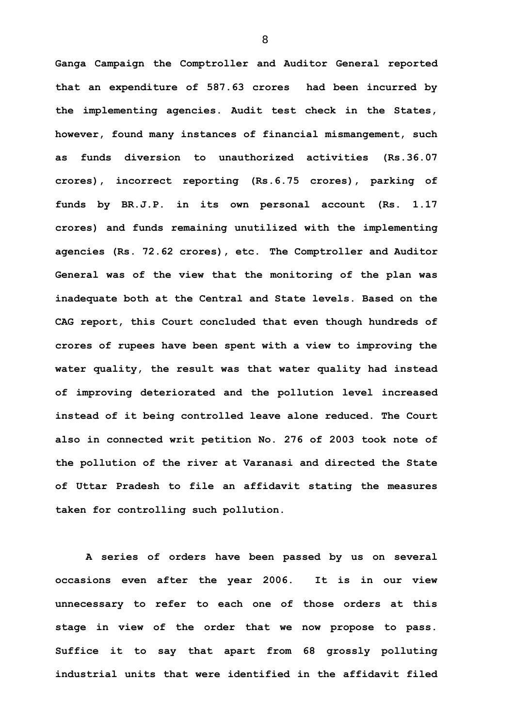**Ganga Campaign the Comptroller and Auditor General reported that an expenditure of 587.63 crores had been incurred by the implementing agencies. Audit test check in the States, however, found many instances of financial mismangement, such as funds diversion to unauthorized activities (Rs.36.07 crores), incorrect reporting (Rs.6.75 crores), parking of funds by BR.J.P. in its own personal account (Rs. 1.17 crores) and funds remaining unutilized with the implementing agencies (Rs. 72.62 crores), etc. The Comptroller and Auditor General was of the view that the monitoring of the plan was inadequate both at the Central and State levels. Based on the CAG report, this Court concluded that even though hundreds of crores of rupees have been spent with a view to improving the water quality, the result was that water quality had instead of improving deteriorated and the pollution level increased instead of it being controlled leave alone reduced. The Court also in connected writ petition No. 276 of 2003 took note of the pollution of the river at Varanasi and directed the State of Uttar Pradesh to file an affidavit stating the measures taken for controlling such pollution.**

**A series of orders have been passed by us on several occasions even after the year 2006. It is in our view unnecessary to refer to each one of those orders at this stage in view of the order that we now propose to pass. Suffice it to say that apart from 68 grossly polluting industrial units that were identified in the affidavit filed**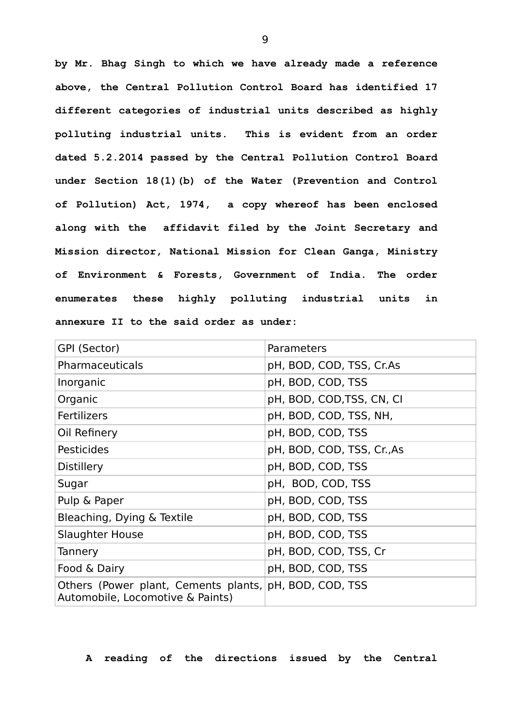**by Mr. Bhag Singh to which we have already made a reference above, the Central Pollution Control Board has identified 17 different categories of industrial units described as highly polluting industrial units. This is evident from an order dated 5.2.2014 passed by the Central Pollution Control Board under Section 18(1)(b) of the Water (Prevention and Control of Pollution) Act, 1974, a copy whereof has been enclosed along with the affidavit filed by the Joint Secretary and Mission director, National Mission for Clean Ganga, Ministry of Environment & Forests, Government of India. The order enumerates these highly polluting industrial units in annexure II to the said order as under:**

| GPI (Sector)                                                                               | Parameters                 |
|--------------------------------------------------------------------------------------------|----------------------------|
| Pharmaceuticals                                                                            | pH, BOD, COD, TSS, Cr.As   |
| Inorganic                                                                                  | pH, BOD, COD, TSS          |
| Organic                                                                                    | pH, BOD, COD, TSS, CN, CI  |
| <b>Fertilizers</b>                                                                         | pH, BOD, COD, TSS, NH,     |
| Oil Refinery                                                                               | pH, BOD, COD, TSS          |
| <b>Pesticides</b>                                                                          | pH, BOD, COD, TSS, Cr., As |
| <b>Distillery</b>                                                                          | pH, BOD, COD, TSS          |
| Sugar                                                                                      | pH, BOD, COD, TSS          |
| Pulp & Paper                                                                               | pH, BOD, COD, TSS          |
| Bleaching, Dying & Textile                                                                 | pH, BOD, COD, TSS          |
| <b>Slaughter House</b>                                                                     | pH, BOD, COD, TSS          |
| Tannery                                                                                    | pH, BOD, COD, TSS, Cr      |
| Food & Dairy                                                                               | pH, BOD, COD, TSS          |
| Others (Power plant, Cements plants, pH, BOD, COD, TSS<br>Automobile, Locomotive & Paints) |                            |
|                                                                                            |                            |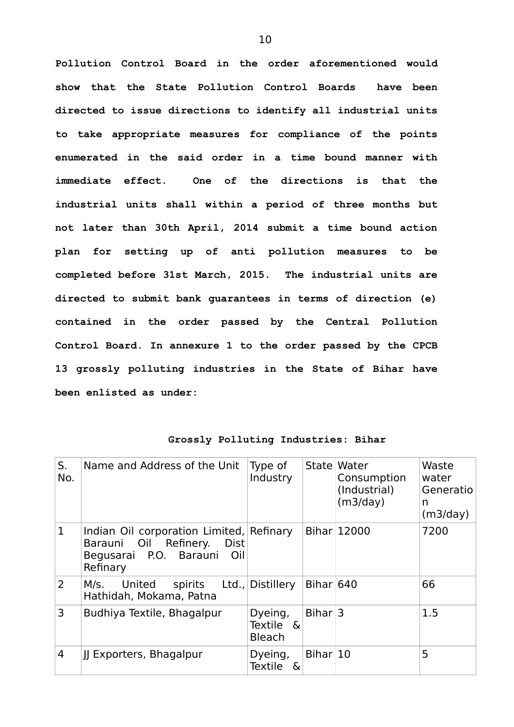**Pollution Control Board in the order aforementioned would show that the State Pollution Control Boards have been directed to issue directions to identify all industrial units to take appropriate measures for compliance of the points enumerated in the said order in a time bound manner with immediate effect. One of the directions is that the industrial units shall within a period of three months but not later than 30th April, 2014 submit a time bound action plan for setting up of anti pollution measures to be completed before 31st March, 2015. The industrial units are directed to submit bank guarantees in terms of direction (e) contained in the order passed by the Central Pollution Control Board. In annexure 1 to the order passed by the CPCB 13 grossly polluting industries in the State of Bihar have been enlisted as under:** 

| S.<br>No.      | Name and Address of the Unit                                                                                        | Type of<br>Industry                   |             | State Water<br>Consumption<br>(Industrial)<br>(m3/day) | Waste<br>water<br>Generatio<br>n<br>(m3/day) |
|----------------|---------------------------------------------------------------------------------------------------------------------|---------------------------------------|-------------|--------------------------------------------------------|----------------------------------------------|
| 1              | Indian Oil corporation Limited, Refinary<br>Barauni Oil Refinery.<br>Dist<br>Begusarai P.O. Barauni Oil<br>Refinary |                                       |             | Bihar 12000                                            | 7200                                         |
| $\overline{2}$ | United<br>spirits<br>M/s.<br>Hathidah, Mokama, Patna                                                                | Ltd., Distillery                      | Bihar $640$ |                                                        | 66                                           |
| 3              | Budhiya Textile, Bhagalpur                                                                                          | Dyeing,<br>Textile &<br><b>Bleach</b> | Bihar $3$   |                                                        | 1.5                                          |
| $\overline{4}$ | Il Exporters, Bhagalpur                                                                                             | Dyeing,<br>Textile &                  | Bihar 10    |                                                        | 5                                            |

**Grossly Polluting Industries: Bihar**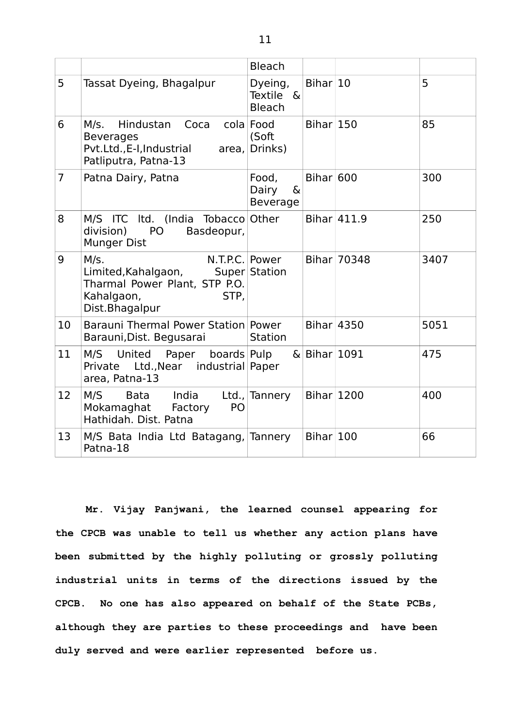|                |                                                                                                                                      | <b>Bleach</b>                           |              |             |      |
|----------------|--------------------------------------------------------------------------------------------------------------------------------------|-----------------------------------------|--------------|-------------|------|
| 5              | Tassat Dyeing, Bhagalpur                                                                                                             | Dyeing,<br>Textile &<br><b>Bleach</b>   | Bihar 10     |             | 5    |
| 6              | Hindustan<br>Coca<br>M/s.<br><b>Beverages</b><br>Pvt.Ltd.,E-I,Industrial<br>Patliputra, Patna-13                                     | cola Food<br>(Soft<br>area, Drinks)     | Bihar 150    |             | 85   |
| $\overline{7}$ | Patna Dairy, Patna                                                                                                                   | Food,<br>Dairy<br>୍ୟ<br><b>Beverage</b> | Bihar 600    |             | 300  |
| 8              | M/S ITC ltd. (India Tobacco Other<br>division)<br><b>PO</b><br>Basdeopur,<br><b>Munger Dist</b>                                      |                                         |              | Bihar 411.9 | 250  |
| 9              | N.T.P.C. Power<br>M/s.<br>Limited, Kahalgaon, Super Station<br>Tharmal Power Plant, STP P.O.<br>Kahalgaon,<br>STP,<br>Dist.Bhagalpur |                                         |              | Bihar 70348 | 3407 |
| 10             | Barauni Thermal Power Station Power<br>Barauni, Dist. Begusarai                                                                      | <b>Station</b>                          | Bihar 4350   |             | 5051 |
| 11             | United Paper boards Pulp<br>M/S<br>Private Ltd., Near industrial Paper<br>area, Patna-13                                             |                                         | & Bihar 1091 |             | 475  |
| 12             | Bata India<br>M/S<br>Mokamaghat Factory<br><b>PO</b><br>Hathidah, Dist, Patna                                                        | Ltd., Tannery                           | Bihar 1200   |             | 400  |
| 13             | M/S Bata India Ltd Batagang, Tannery<br>Patna-18                                                                                     |                                         | Bihar 100    |             | 66   |

**Mr. Vijay Panjwani, the learned counsel appearing for the CPCB was unable to tell us whether any action plans have been submitted by the highly polluting or grossly polluting industrial units in terms of the directions issued by the CPCB. No one has also appeared on behalf of the State PCBs, although they are parties to these proceedings and have been duly served and were earlier represented before us.**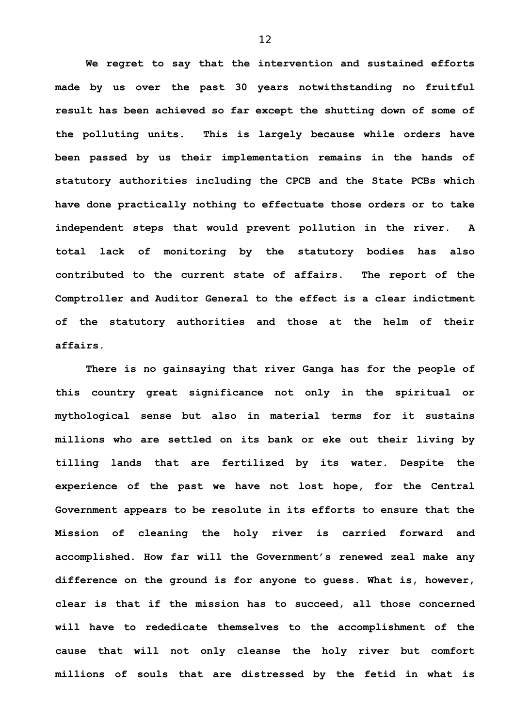**We regret to say that the intervention and sustained efforts made by us over the past 30 years notwithstanding no fruitful result has been achieved so far except the shutting down of some of the polluting units. This is largely because while orders have been passed by us their implementation remains in the hands of statutory authorities including the CPCB and the State PCBs which have done practically nothing to effectuate those orders or to take independent steps that would prevent pollution in the river. A total lack of monitoring by the statutory bodies has also contributed to the current state of affairs. The report of the Comptroller and Auditor General to the effect is a clear indictment of the statutory authorities and those at the helm of their affairs.** 

**There is no gainsaying that river Ganga has for the people of this country great significance not only in the spiritual or mythological sense but also in material terms for it sustains millions who are settled on its bank or eke out their living by tilling lands that are fertilized by its water. Despite the experience of the past we have not lost hope, for the Central Government appears to be resolute in its efforts to ensure that the Mission of cleaning the holy river is carried forward and accomplished. How far will the Government's renewed zeal make any difference on the ground is for anyone to guess. What is, however, clear is that if the mission has to succeed, all those concerned will have to rededicate themselves to the accomplishment of the cause that will not only cleanse the holy river but comfort millions of souls that are distressed by the fetid in what is**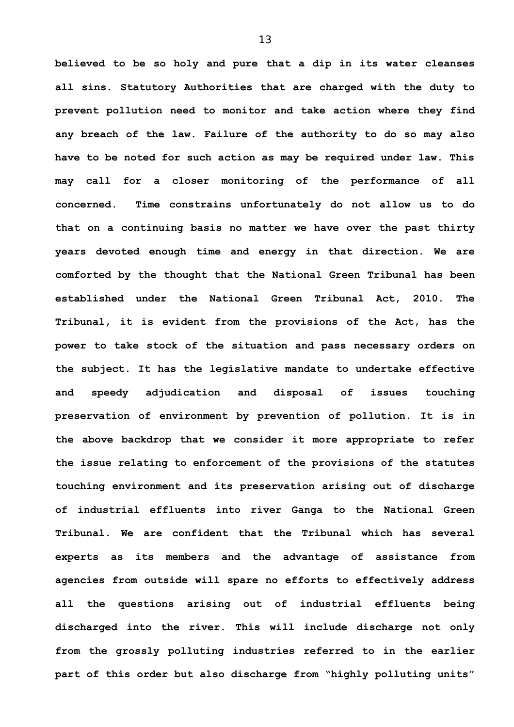**believed to be so holy and pure that a dip in its water cleanses all sins. Statutory Authorities that are charged with the duty to prevent pollution need to monitor and take action where they find any breach of the law. Failure of the authority to do so may also have to be noted for such action as may be required under law. This may call for a closer monitoring of the performance of all concerned. Time constrains unfortunately do not allow us to do that on a continuing basis no matter we have over the past thirty years devoted enough time and energy in that direction. We are comforted by the thought that the National Green Tribunal has been established under the National Green Tribunal Act, 2010. The Tribunal, it is evident from the provisions of the Act, has the power to take stock of the situation and pass necessary orders on the subject. It has the legislative mandate to undertake effective and speedy adjudication and disposal of issues touching preservation of environment by prevention of pollution. It is in the above backdrop that we consider it more appropriate to refer the issue relating to enforcement of the provisions of the statutes touching environment and its preservation arising out of discharge of industrial effluents into river Ganga to the National Green Tribunal. We are confident that the Tribunal which has several experts as its members and the advantage of assistance from agencies from outside will spare no efforts to effectively address all the questions arising out of industrial effluents being discharged into the river. This will include discharge not only from the grossly polluting industries referred to in the earlier part of this order but also discharge from "highly polluting units"**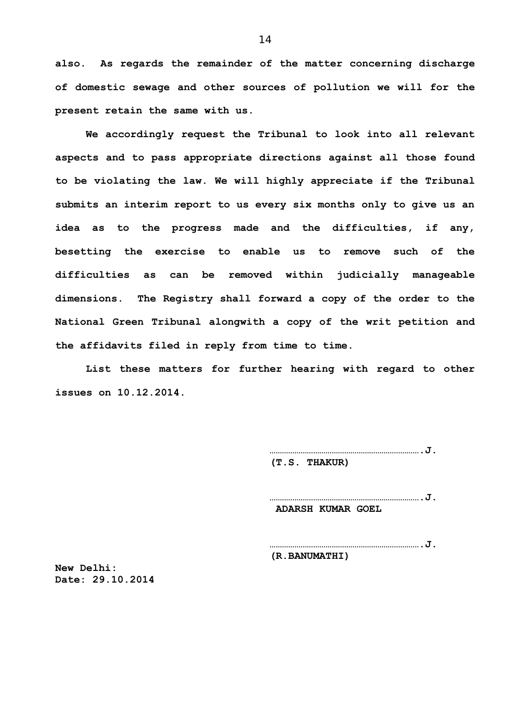**also. As regards the remainder of the matter concerning discharge of domestic sewage and other sources of pollution we will for the present retain the same with us.** 

**We accordingly request the Tribunal to look into all relevant aspects and to pass appropriate directions against all those found to be violating the law. We will highly appreciate if the Tribunal submits an interim report to us every six months only to give us an idea as to the progress made and the difficulties, if any, besetting the exercise to enable us to remove such of the difficulties as can be removed within judicially manageable dimensions. The Registry shall forward a copy of the order to the National Green Tribunal alongwith a copy of the writ petition and the affidavits filed in reply from time to time.** 

**List these matters for further hearing with regard to other issues on 10.12.2014.**

**……………………………………………………………….J.**

**(T.S. THAKUR)**

**……………………………………………………………….J. ADARSH KUMAR GOEL**

**……………………………………………………………….J. (R.BANUMATHI)**

**New Delhi: Date: 29.10.2014**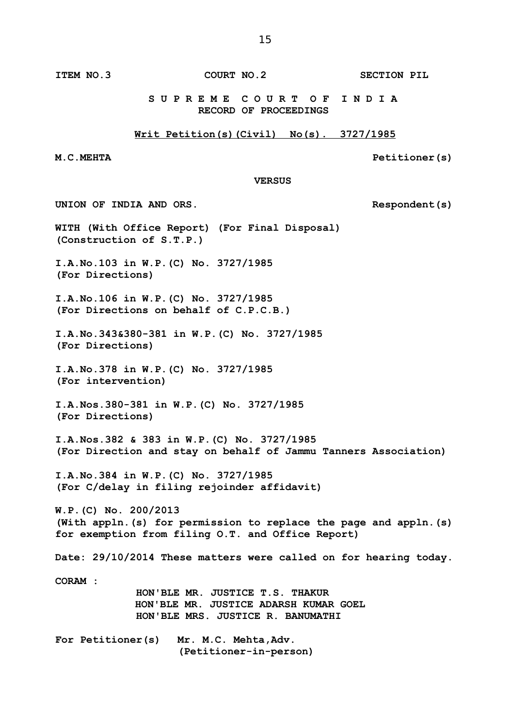**ITEM NO.3 COURT NO.2 SECTION PIL**

 **S U P R E M E C O U R T O F I N D I A RECORD OF PROCEEDINGS**

 **VERSUS**

**Writ Petition(s)(Civil) No(s). 3727/1985**

**M.C.MEHTA Petitioner(s)**

UNION OF INDIA AND ORS. Respondent(s)

**WITH (With Office Report) (For Final Disposal) (Construction of S.T.P.)**

**I.A.No.103 in W.P.(C) No. 3727/1985 (For Directions)**

**I.A.No.106 in W.P.(C) No. 3727/1985 (For Directions on behalf of C.P.C.B.)**

**I.A.No.343&380-381 in W.P.(C) No. 3727/1985 (For Directions)**

**I.A.No.378 in W.P.(C) No. 3727/1985 (For intervention)**

**I.A.Nos.380-381 in W.P.(C) No. 3727/1985 (For Directions)**

**I.A.Nos.382 & 383 in W.P.(C) No. 3727/1985 (For Direction and stay on behalf of Jammu Tanners Association)**

**I.A.No.384 in W.P.(C) No. 3727/1985 (For C/delay in filing rejoinder affidavit)**

**W.P.(C) No. 200/2013 (With appln.(s) for permission to replace the page and appln.(s) for exemption from filing O.T. and Office Report)**

**Date: 29/10/2014 These matters were called on for hearing today.**

**CORAM :** 

 **HON'BLE MR. JUSTICE T.S. THAKUR HON'BLE MR. JUSTICE ADARSH KUMAR GOEL HON'BLE MRS. JUSTICE R. BANUMATHI**

**For Petitioner(s) Mr. M.C. Mehta,Adv. (Petitioner-in-person)**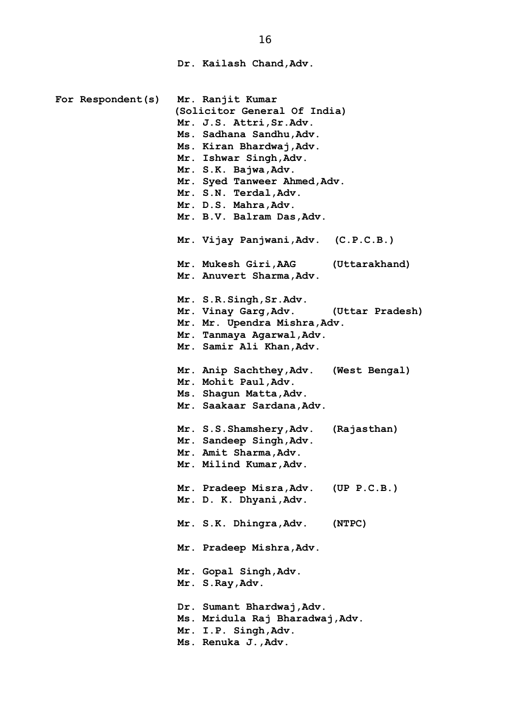**Dr. Kailash Chand,Adv. For Respondent(s) Mr. Ranjit Kumar (Solicitor General Of India) Mr. J.S. Attri,Sr.Adv. Ms. Sadhana Sandhu,Adv. Ms. Kiran Bhardwaj,Adv. Mr. Ishwar Singh,Adv. Mr. S.K. Bajwa,Adv. Mr. Syed Tanweer Ahmed,Adv. Mr. S.N. Terdal,Adv. Mr. D.S. Mahra,Adv. Mr. B.V. Balram Das,Adv. Mr. Vijay Panjwani,Adv. (C.P.C.B.) Mr. Mukesh Giri,AAG (Uttarakhand) Mr. Anuvert Sharma,Adv. Mr. S.R.Singh,Sr.Adv. Mr. Vinay Garg,Adv. (Uttar Pradesh) Mr. Mr. Upendra Mishra,Adv. Mr. Tanmaya Agarwal,Adv. Mr. Samir Ali Khan,Adv. Mr. Anip Sachthey,Adv. (West Bengal) Mr. Mohit Paul,Adv. Ms. Shagun Matta,Adv. Mr. Saakaar Sardana,Adv. Mr. S.S.Shamshery,Adv. (Rajasthan) Mr. Sandeep Singh,Adv. Mr. Amit Sharma,Adv. Mr. Milind Kumar,Adv. Mr. Pradeep Misra,Adv. (UP P.C.B.) Mr. D. K. Dhyani,Adv. Mr. S.K. Dhingra,Adv. (NTPC) Mr. Pradeep Mishra,Adv. Mr. Gopal Singh,Adv. Mr. S.Ray,Adv. Dr. Sumant Bhardwaj,Adv. Ms. Mridula Raj Bharadwaj,Adv. Mr. I.P. Singh,Adv. Ms. Renuka J.,Adv.**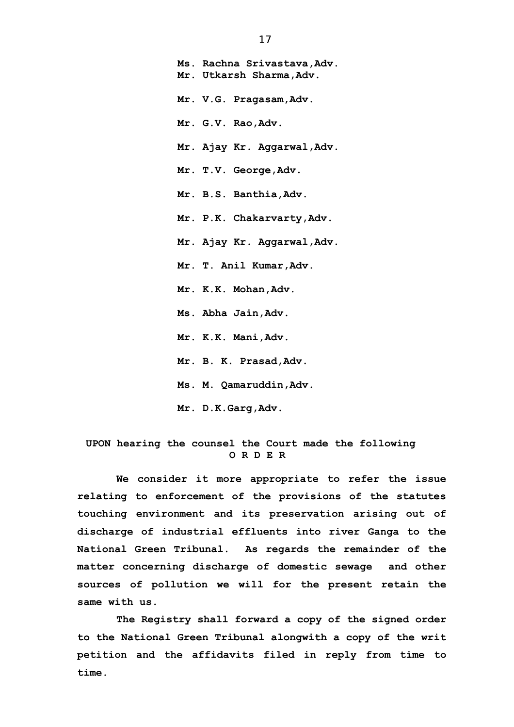**Ms. Rachna Srivastava,Adv. Mr. Utkarsh Sharma,Adv. Mr. V.G. Pragasam,Adv. Mr. G.V. Rao,Adv. Mr. Ajay Kr. Aggarwal,Adv. Mr. T.V. George,Adv. Mr. B.S. Banthia,Adv. Mr. P.K. Chakarvarty,Adv. Mr. Ajay Kr. Aggarwal,Adv. Mr. T. Anil Kumar,Adv. Mr. K.K. Mohan,Adv. Ms. Abha Jain,Adv. Mr. K.K. Mani,Adv. Mr. B. K. Prasad,Adv. Ms. M. Qamaruddin,Adv. Mr. D.K.Garg,Adv.**

## **UPON hearing the counsel the Court made the following O R D E R**

**We consider it more appropriate to refer the issue relating to enforcement of the provisions of the statutes touching environment and its preservation arising out of discharge of industrial effluents into river Ganga to the National Green Tribunal. As regards the remainder of the matter concerning discharge of domestic sewage and other sources of pollution we will for the present retain the same with us.**

**The Registry shall forward a copy of the signed order to the National Green Tribunal alongwith a copy of the writ petition and the affidavits filed in reply from time to time.**